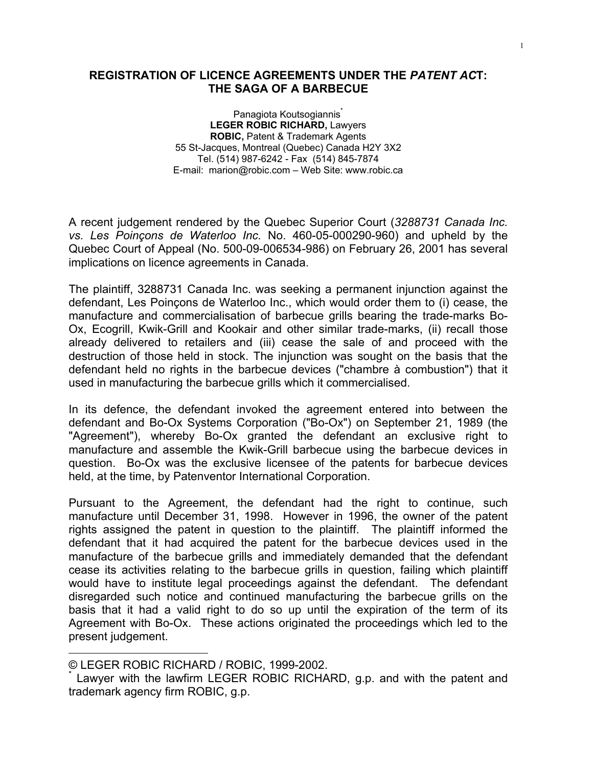## **REGISTRATION OF LICENCE AGREEMENTS UNDER THE** *PATENT AC***T: THE SAGA OF A BARBECUE**

Panagiota Koutsogiannis<sup>\*</sup> **LEGER ROBIC RICHARD,** Lawyers **ROBIC,** Patent & Trademark Agents 55 St-Jacques, Montreal (Quebec) Canada H2Y 3X2 Tel. (514) 987-6242 - Fax (514) 845-7874 E-mail: marion@robic.com – Web Site: www.robic.ca

A recent judgement rendered by the Quebec Superior Court (*3288731 Canada Inc. vs. Les Poinçons de Waterloo Inc.* No. 460-05-000290-960) and upheld by the Quebec Court of Appeal (No. 500-09-006534-986) on February 26, 2001 has several implications on licence agreements in Canada.

The plaintiff, 3288731 Canada Inc. was seeking a permanent injunction against the defendant, Les Poinçons de Waterloo Inc., which would order them to (i) cease, the manufacture and commercialisation of barbecue grills bearing the trade-marks Bo-Ox, Ecogrill, Kwik-Grill and Kookair and other similar trade-marks, (ii) recall those already delivered to retailers and (iii) cease the sale of and proceed with the destruction of those held in stock. The injunction was sought on the basis that the defendant held no rights in the barbecue devices ("chambre à combustion") that it used in manufacturing the barbecue grills which it commercialised.

In its defence, the defendant invoked the agreement entered into between the defendant and Bo-Ox Systems Corporation ("Bo-Ox") on September 21, 1989 (the "Agreement"), whereby Bo-Ox granted the defendant an exclusive right to manufacture and assemble the Kwik-Grill barbecue using the barbecue devices in question. Bo-Ox was the exclusive licensee of the patents for barbecue devices held, at the time, by Patenventor International Corporation.

Pursuant to the Agreement, the defendant had the right to continue, such manufacture until December 31, 1998. However in 1996, the owner of the patent rights assigned the patent in question to the plaintiff. The plaintiff informed the defendant that it had acquired the patent for the barbecue devices used in the manufacture of the barbecue grills and immediately demanded that the defendant cease its activities relating to the barbecue grills in question, failing which plaintiff would have to institute legal proceedings against the defendant. The defendant disregarded such notice and continued manufacturing the barbecue grills on the basis that it had a valid right to do so up until the expiration of the term of its Agreement with Bo-Ox. These actions originated the proceedings which led to the present judgement.

 $\overline{a}$ 

<sup>©</sup> LEGER ROBIC RICHARD / ROBIC, 1999-2002.

<sup>\*</sup> Lawyer with the lawfirm LEGER ROBIC RICHARD, g.p. and with the patent and trademark agency firm ROBIC, g.p.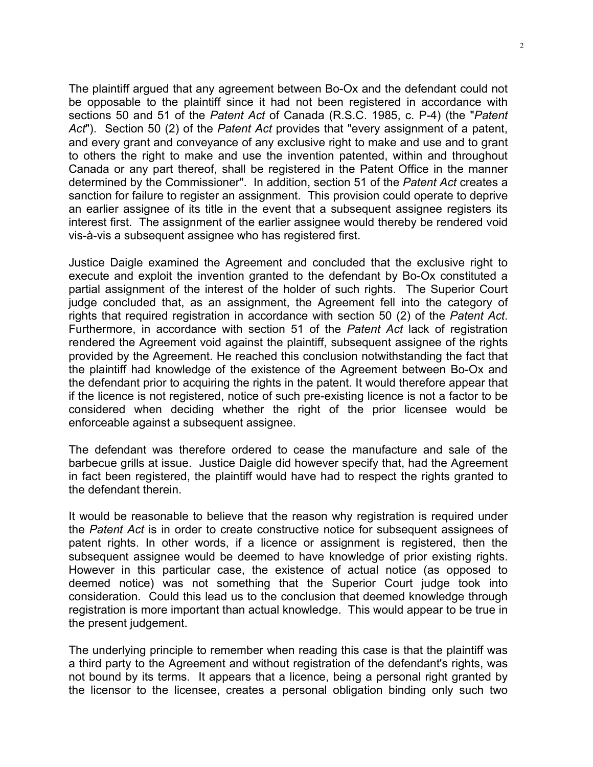The plaintiff argued that any agreement between Bo-Ox and the defendant could not be opposable to the plaintiff since it had not been registered in accordance with sections 50 and 51 of the *Patent Act* of Canada (R.S.C. 1985, c. P-4) (the "*Patent Act*"). Section 50 (2) of the *Patent Act* provides that "every assignment of a patent, and every grant and conveyance of any exclusive right to make and use and to grant to others the right to make and use the invention patented, within and throughout Canada or any part thereof, shall be registered in the Patent Office in the manner determined by the Commissioner". In addition, section 51 of the *Patent Act* creates a sanction for failure to register an assignment. This provision could operate to deprive an earlier assignee of its title in the event that a subsequent assignee registers its interest first. The assignment of the earlier assignee would thereby be rendered void vis-à-vis a subsequent assignee who has registered first.

Justice Daigle examined the Agreement and concluded that the exclusive right to execute and exploit the invention granted to the defendant by Bo-Ox constituted a partial assignment of the interest of the holder of such rights. The Superior Court judge concluded that, as an assignment, the Agreement fell into the category of rights that required registration in accordance with section 50 (2) of the *Patent Act*. Furthermore, in accordance with section 51 of the *Patent Act* lack of registration rendered the Agreement void against the plaintiff, subsequent assignee of the rights provided by the Agreement. He reached this conclusion notwithstanding the fact that the plaintiff had knowledge of the existence of the Agreement between Bo-Ox and the defendant prior to acquiring the rights in the patent. It would therefore appear that if the licence is not registered, notice of such pre-existing licence is not a factor to be considered when deciding whether the right of the prior licensee would be enforceable against a subsequent assignee.

The defendant was therefore ordered to cease the manufacture and sale of the barbecue grills at issue. Justice Daigle did however specify that, had the Agreement in fact been registered, the plaintiff would have had to respect the rights granted to the defendant therein.

It would be reasonable to believe that the reason why registration is required under the *Patent Act* is in order to create constructive notice for subsequent assignees of patent rights. In other words, if a licence or assignment is registered, then the subsequent assignee would be deemed to have knowledge of prior existing rights. However in this particular case, the existence of actual notice (as opposed to deemed notice) was not something that the Superior Court judge took into consideration. Could this lead us to the conclusion that deemed knowledge through registration is more important than actual knowledge. This would appear to be true in the present judgement.

The underlying principle to remember when reading this case is that the plaintiff was a third party to the Agreement and without registration of the defendant's rights, was not bound by its terms. It appears that a licence, being a personal right granted by the licensor to the licensee, creates a personal obligation binding only such two